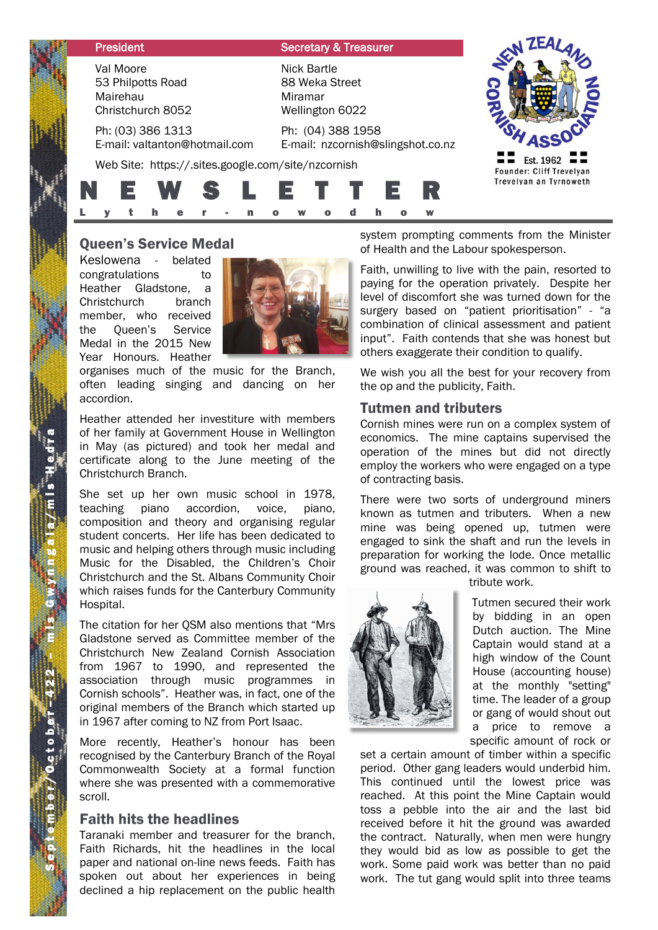| <b>President</b>                                                | <b>Secretary &amp; Treasurer</b>                                   |                                                                 |
|-----------------------------------------------------------------|--------------------------------------------------------------------|-----------------------------------------------------------------|
| Val Moore<br>53 Philpotts Road<br>Mairehau<br>Christchurch 8052 | <b>Nick Bartle</b><br>88 Weka Street<br>Miramar<br>Wellington 6022 |                                                                 |
| Ph: (03) 386 1313<br>E-mail: valtanton@hotmail.com              | Ph: (04) 388 1958<br>E-mail: nzcornish@slingshot.co.nz             |                                                                 |
| Web Site: https://.sites.google.com/site/nzcornish              |                                                                    | Est. 1962<br>Founder: Cliff Trevelyan<br>Trevelyan an Tyrnoweth |
| WS S                                                            | R<br>E T T E<br>W                                                  |                                                                 |

Keslowena - belated congratulations to Heather Gladstone, a Christchurch branch member, who received the Queen's Service Medal in the 2015 New Year Honours. Heather



organises much of the music for the Branch, often leading singing and dancing on her accordion.

Heather attended her investiture with members of her family at Government House in Wellington in May (as pictured) and took her medal and certificate along to the June meeting of the Christchurch Branch.

**Queen's Service Medal**<br>
Keslowena - belated<br>
Healther Gladstone, a<br>
Healther Gladstone, a<br>
Christchurch branch<br>
Christchurch branch<br>
member, who received<br>
the Queen's Service<br>
Medal in the 2015 New<br>
Yerar Honours. Healthe She set up her own music school in 1978, teaching piano accordion, voice, piano, composition and theory and organising regular student concerts. Her life has been dedicated to music and helping others through music including Music for the Disabled, the Children's Choir Christchurch and the St. Albans Community Choir which raises funds for the Canterbury Community Hospital.

The citation for her QSM also mentions that "Mrs Gladstone served as Committee member of the Christchurch New Zealand Cornish Association from 1967 to 1990, and represented the association through music programmes in Cornish schools". Heather was, in fact, one of the original members of the Branch which started up in 1967 after coming to NZ from Port Isaac.

More recently, Heather's honour has been recognised by the Canterbury Branch of the Royal Commonwealth Society at a formal function where she was presented with a commemorative scroll.

## Faith hits the headlines

Taranaki member and treasurer for the branch, Faith Richards, hit the headlines in the local paper and national on-line news feeds. Faith has spoken out about her experiences in being declined a hip replacement on the public health system prompting comments from the Minister of Health and the Labour spokesperson.

Faith, unwilling to live with the pain, resorted to paying for the operation privately. Despite her level of discomfort she was turned down for the surgery based on "patient prioritisation" - "a combination of clinical assessment and patient input". Faith contends that she was honest but others exaggerate their condition to qualify.

We wish you all the best for your recovery from the op and the publicity, Faith.

#### Tutmen and tributers

Cornish mines were run on a complex system of economics. The mine captains supervised the operation of the mines but did not directly employ the workers who were engaged on a type of contracting basis.

There were two sorts of underground miners known as tutmen and tributers. When a new mine was being opened up, tutmen were engaged to sink the shaft and run the levels in preparation for working the lode. Once metallic ground was reached, it was common to shift to tribute work.



Tutmen secured their work

by bidding in an open Dutch auction. The Mine Captain would stand at a high window of the Count House (accounting house) at the monthly "setting" time. The leader of a group or gang of would shout out a price to remove a specific amount of rock or

set a certain amount of timber within a specific period. Other gang leaders would underbid him. This continued until the lowest price was reached. At this point the Mine Captain would toss a pebble into the air and the last bid received before it hit the ground was awarded the contract. Naturally, when men were hungry they would bid as low as possible to get the work. Some paid work was better than no paid work. The tut gang would split into three teams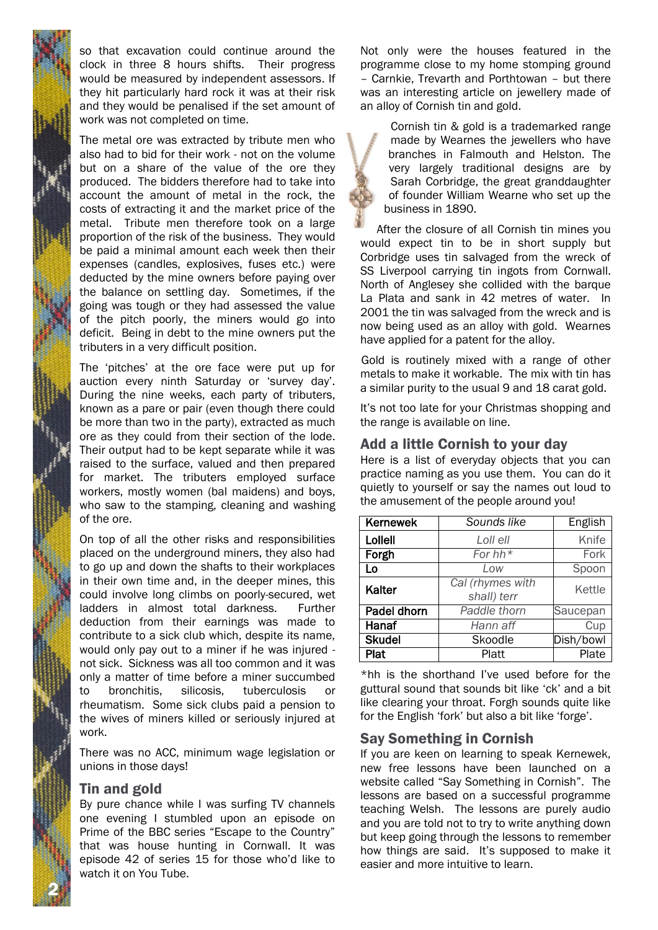2 N

so that excavation could continue around the clock in three 8 hours shifts. Their progress would be measured by independent assessors. If they hit particularly hard rock it was at their risk and they would be penalised if the set amount of work was not completed on time.

The metal ore was extracted by tribute men who also had to bid for their work - not on the volume but on a share of the value of the ore they produced. The bidders therefore had to take into account the amount of metal in the rock, the costs of extracting it and the market price of the metal. Tribute men therefore took on a large proportion of the risk of the business. They would be paid a minimal amount each week then their expenses (candles, explosives, fuses etc.) were deducted by the mine owners before paying over the balance on settling day. Sometimes, if the going was tough or they had assessed the value of the pitch poorly, the miners would go into deficit. Being in debt to the mine owners put the tributers in a very difficult position.

The 'pitches' at the ore face were put up for auction every ninth Saturday or 'survey day'. During the nine weeks, each party of tributers, known as a pare or pair (even though there could be more than two in the party), extracted as much ore as they could from their section of the lode. Their output had to be kept separate while it was raised to the surface, valued and then prepared for market. The tributers employed surface workers, mostly women (bal maidens) and boys, who saw to the stamping, cleaning and washing of the ore.

On top of all the other risks and responsibilities placed on the underground miners, they also had to go up and down the shafts to their workplaces in their own time and, in the deeper mines, this could involve long climbs on poorly-secured, wet ladders in almost total darkness. Further deduction from their earnings was made to contribute to a sick club which, despite its name, would only pay out to a miner if he was injured not sick. Sickness was all too common and it was only a matter of time before a miner succumbed to bronchitis, silicosis, tuberculosis or rheumatism. Some sick clubs paid a pension to the wives of miners killed or seriously injured at work.

There was no ACC, minimum wage legislation or unions in those days!

# Tin and gold

By pure chance while I was surfing TV channels one evening I stumbled upon an episode on Prime of the BBC series "Escape to the Country" that was house hunting in Cornwall. It was episode 42 of series 15 for those who'd like to watch it on You Tube.

Not only were the houses featured in the programme close to my home stomping ground – Carnkie, Trevarth and Porthtowan – but there was an interesting article on jewellery made of an alloy of Cornish tin and gold.

Cornish tin & gold is a trademarked range made by Wearnes the jewellers who have branches in Falmouth and Helston. The very largely traditional designs are by Sarah Corbridge, the great granddaughter of founder William Wearne who set up the business in 1890.

After the closure of all Cornish tin mines you would expect tin to be in short supply but Corbridge uses tin salvaged from the wreck of SS Liverpool carrying tin ingots from Cornwall. North of Anglesey she collided with the barque La Plata and sank in 42 metres of water. In 2001 the tin was salvaged from the wreck and is now being used as an alloy with gold. Wearnes have applied for a patent for the alloy.

Gold is routinely mixed with a range of other metals to make it workable. The mix with tin has a similar purity to the usual 9 and 18 carat gold.

It's not too late for your Christmas shopping and the range is available on line.

# Add a little Cornish to your day

Here is a list of everyday objects that you can practice naming as you use them. You can do it quietly to yourself or say the names out loud to the amusement of the people around you!

| <b>Kernewek</b>    | Sounds like      | English   |
|--------------------|------------------|-----------|
| Lollell            | Loll ell         | Knife     |
| Forgh              | For hh $*$       | Fork      |
| Lo                 | Low              | Spoon     |
| Kalter             | Cal (rhymes with | Kettle    |
|                    | shall) terr      |           |
| <b>Padel dhorn</b> | Paddle thorn     | Saucepan  |
| Hanaf              | Hann aff         | Cup       |
| <b>Skudel</b>      | Skoodle          | Dish/bowl |
| Plat               | Platt            | Plate     |

\*hh is the shorthand I've used before for the guttural sound that sounds bit like 'ck' and a bit like clearing your throat. Forgh sounds quite like for the English 'fork' but also a bit like 'forge'.

# Say Something in Cornish

If you are keen on learning to speak Kernewek, new free lessons have been launched on a website called "Say Something in Cornish". The lessons are based on a successful programme teaching Welsh. The lessons are purely audio and you are told not to try to write anything down but keep going through the lessons to remember how things are said. It's supposed to make it easier and more intuitive to learn.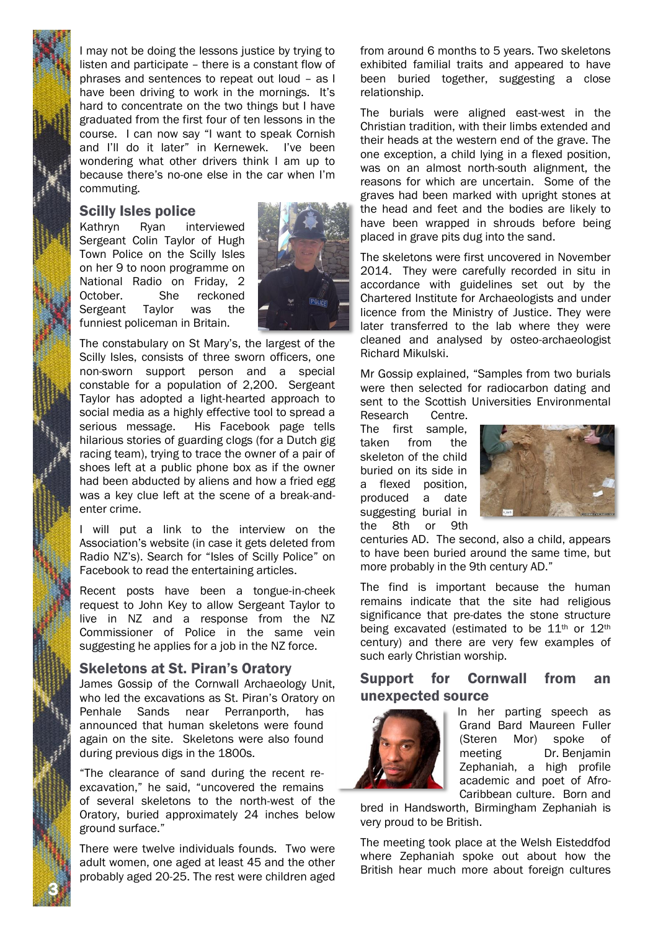I may not be doing the lessons justice by trying to listen and participate – there is a constant flow of phrases and sentences to repeat out loud – as I have been driving to work in the mornings. It's hard to concentrate on the two things but I have graduated from the first four of ten lessons in the course. I can now say "I want to speak Cornish and I'll do it later" in Kernewek. I've been wondering what other drivers think I am up to because there's no-one else in the car when I'm commuting.

## Scilly Isles police

Kathryn Ryan interviewed Sergeant Colin Taylor of Hugh Town Police on the Scilly Isles on her 9 to noon programme on National Radio on Friday, 2 October. She reckoned Sergeant Taylor was the funniest policeman in Britain.



The constabulary on St Mary's, the largest of the Scilly Isles, consists of three sworn officers, one non-sworn support person and a special constable for a population of 2,200. Sergeant Taylor has adopted a light-hearted approach to social media as a highly effective tool to spread a serious message. His Facebook page tells hilarious stories of guarding clogs (for a Dutch gig racing team), trying to trace the owner of a pair of shoes left at a public phone box as if the owner had been abducted by aliens and how a fried egg was a key clue left at the scene of a break-andenter crime.

I will put a link to the interview on the Association's website (in case it gets deleted from Radio NZ's). Search for "Isles of Scilly Police" on Facebook to read the entertaining articles.

Recent posts have been a tongue-in-cheek request to John Key to allow Sergeant Taylor to live in NZ and a response from the NZ Commissioner of Police in the same vein suggesting he applies for a job in the NZ force.

# Skeletons at St. Piran's Oratory

James Gossip of the Cornwall Archaeology Unit, who led the excavations as St. Piran's Oratory on Penhale Sands near Perranporth, has announced that human skeletons were found again on the site. Skeletons were also found during previous digs in the 1800s.

"The clearance of sand during the recent reexcavation," he said, "uncovered the remains of several skeletons to the north-west of the Oratory, buried approximately 24 inches below ground surface."

There were twelve individuals founds. Two were adult women, one aged at least 45 and the other probably aged 20-25. The rest were children aged

3 N

from around 6 months to 5 years. Two skeletons exhibited familial traits and appeared to have been buried together, suggesting a close relationship.

The burials were aligned east-west in the Christian tradition, with their limbs extended and their heads at the western end of the grave. The one exception, a child lying in a flexed position, was on an almost north-south alignment, the reasons for which are uncertain. Some of the graves had been marked with upright stones at the head and feet and the bodies are likely to have been wrapped in shrouds before being placed in grave pits dug into the sand.

The skeletons were first uncovered in November 2014. They were carefully recorded in situ in accordance with guidelines set out by the Chartered Institute for Archaeologists and under licence from the Ministry of Justice. They were later transferred to the lab where they were cleaned and analysed by osteo-archaeologist Richard Mikulski.

Mr Gossip explained, "Samples from two burials were then selected for radiocarbon dating and sent to the Scottish Universities Environmental

Research Centre. The first sample, taken from the skeleton of the child buried on its side in a flexed position, produced a date suggesting burial in the 8th or 9th



centuries AD. The second, also a child, appears to have been buried around the same time, but more probably in the 9th century AD."

The find is important because the human remains indicate that the site had religious significance that pre-dates the stone structure being excavated (estimated to be 11<sup>th</sup> or 12<sup>th</sup> century) and there are very few examples of such early Christian worship.

# Support for Cornwall from an unexpected source



In her parting speech as Grand Bard Maureen Fuller (Steren Mor) spoke of meeting Dr. Benjamin Zephaniah, a high profile academic and poet of Afro-Caribbean culture. Born and

bred in Handsworth, Birmingham Zephaniah is very proud to be British.

The meeting took place at the Welsh Eisteddfod where Zephaniah spoke out about how the British hear much more about foreign cultures